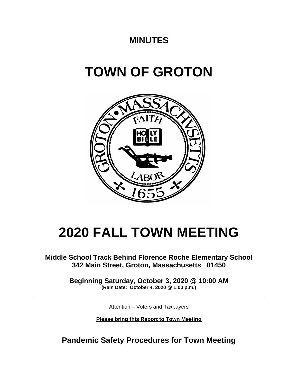## **MINUTES**

# **TOWN OF GROTON**



# **2020 FALL TOWN MEETING**

**Middle School Track Behind Florence Roche Elementary School 342 Main Street, Groton, Massachusetts 01450**

> **Beginning Saturday, October 3, 2020 @ 10:00 AM (Rain Date: October 4, 2020 @ 1:00 p.m.)**

> > Attention – Voters and Taxpayers

**Please bring this Report to Town Meeting**

**Pandemic Safety Procedures for Town Meeting**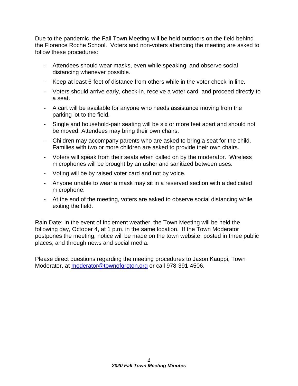Due to the pandemic, the Fall Town Meeting will be held outdoors on the field behind the Florence Roche School. Voters and non-voters attending the meeting are asked to follow these procedures:

- Attendees should wear masks, even while speaking, and observe social distancing whenever possible.
- Keep at least 6-feet of distance from others while in the voter check-in line.
- Voters should arrive early, check-in, receive a voter card, and proceed directly to a seat.
- A cart will be available for anyone who needs assistance moving from the parking lot to the field.
- Single and household-pair seating will be six or more feet apart and should not be moved. Attendees may bring their own chairs.
- Children may accompany parents who are asked to bring a seat for the child. Families with two or more children are asked to provide their own chairs.
- Voters will speak from their seats when called on by the moderator. Wireless microphones will be brought by an usher and sanitized between uses.
- Voting will be by raised voter card and not by voice.
- Anyone unable to wear a mask may sit in a reserved section with a dedicated microphone.
- At the end of the meeting, voters are asked to observe social distancing while exiting the field.

Rain Date: In the event of inclement weather, the Town Meeting will be held the following day, October 4, at 1 p.m. in the same location. If the Town Moderator postpones the meeting, notice will be made on the town website, posted in three public places, and through news and social media.

Please direct questions regarding the meeting procedures to Jason Kauppi, Town Moderator, at [moderator@townofgroton.org](mailto:moderator@townofgroton.org) or call 978-391-4506.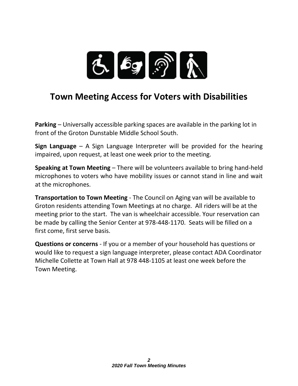

## **Town Meeting Access for Voters with Disabilities**

**Parking** – Universally accessible parking spaces are available in the parking lot in front of the Groton Dunstable Middle School South.

**Sign Language** – A Sign Language Interpreter will be provided for the hearing impaired, upon request, at least one week prior to the meeting.

**Speaking at Town Meeting** – There will be volunteers available to bring hand-held microphones to voters who have mobility issues or cannot stand in line and wait at the microphones.

**Transportation to Town Meeting** - The Council on Aging van will be available to Groton residents attending Town Meetings at no charge. All riders will be at the meeting prior to the start. The van is wheelchair accessible. Your reservation can be made by calling the Senior Center at 978-448-1170. Seats will be filled on a first come, first serve basis.

**Questions or concerns** - If you or a member of your household has questions or would like to request a sign language interpreter, please contact ADA Coordinator Michelle Collette at Town Hall at 978 448-1105 at least one week before the Town Meeting.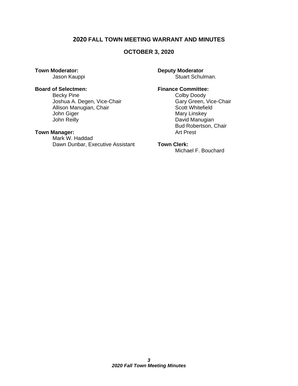### **2020 FALL TOWN MEETING WARRANT AND MINUTES**

#### **OCTOBER 3, 2020**

# **Board of Selectmen: Finance Committee:**<br>Becky Pine **Finance Committee:** Colby Doody

Joshua A. Degen, Vice-Chair<br>
Allison Manugian, Chair<br>
Gary Green, Vice-Chair<br>
Scott Whitefield Allison Manugian, Chair John Giger **Mary Linskey** Mary Linskey John Reilly **David Manugian** 

#### **Town Manager:** Art Prest

Mark W. Haddad Dawn Dunbar, Executive Assistant **Town Clerk:**

### **Town Moderator: Deputy Moderator**

Jason Kauppi **Stuart Schulman.** 

Colby Doody<br>Gary Green, Vice-Chair Bud Robertson, Chair

Michael F. Bouchard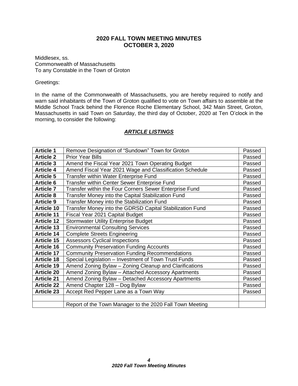### **2020 FALL TOWN MEETING MINUTES OCTOBER 3, 2020**

Middlesex, ss. Commonwealth of Massachusetts To any Constable in the Town of Groton

#### Greetings:

In the name of the Commonwealth of Massachusetts, you are hereby required to notify and warn said inhabitants of the Town of Groton qualified to vote on Town affairs to assemble at the Middle School Track behind the Florence Roche Elementary School, 342 Main Street, Groton, Massachusetts in said Town on Saturday, the third day of October, 2020 at Ten O'clock in the morning, to consider the following:

| <b>Article 1</b>  | Remove Designation of "Sundown" Town for Groton<br>Passed |        |
|-------------------|-----------------------------------------------------------|--------|
| <b>Article 2</b>  | <b>Prior Year Bills</b>                                   | Passed |
| <b>Article 3</b>  | Amend the Fiscal Year 2021 Town Operating Budget          | Passed |
| <b>Article 4</b>  | Amend Fiscal Year 2021 Wage and Classification Schedule   | Passed |
| <b>Article 5</b>  | Transfer within Water Enterprise Fund                     | Passed |
| <b>Article 6</b>  | Transfer within Center Sewer Enterprise Fund              | Passed |
| <b>Article 7</b>  | Transfer within the Four Corners Sewer Enterprise Fund    | Passed |
| <b>Article 8</b>  | Transfer Money into the Capital Stabilization Fund        | Passed |
| <b>Article 9</b>  | Transfer Money into the Stabilization Fund                | Passed |
| <b>Article 10</b> | Transfer Money into the GDRSD Capital Stabilization Fund  | Passed |
| <b>Article 11</b> | Fiscal Year 2021 Capital Budget                           | Passed |
| <b>Article 12</b> | <b>Stormwater Utility Enterprise Budget</b>               | Passed |
| <b>Article 13</b> | <b>Environmental Consulting Services</b>                  | Passed |
| <b>Article 14</b> | <b>Complete Streets Engineering</b>                       | Passed |
| Article 15        | <b>Assessors Cyclical Inspections</b>                     | Passed |
| <b>Article 16</b> | <b>Community Preservation Funding Accounts</b>            | Passed |
| <b>Article 17</b> | <b>Community Preservation Funding Recommendations</b>     | Passed |
| <b>Article 18</b> | Special Legislation - Investment of Town Trust Funds      | Passed |
| <b>Article 19</b> | Amend Zoning Bylaw - Zoning Cleanup and Clarifications    | Passed |
| <b>Article 20</b> | Amend Zoning Bylaw - Attached Accessory Apartments        | Passed |
| <b>Article 21</b> | Amend Zoning Bylaw - Detached Accessory Apartments        | Passed |
| <b>Article 22</b> | Amend Chapter 128 - Dog Bylaw                             | Passed |
| <b>Article 23</b> | Accept Red Pepper Lane as a Town Way                      | Passed |
|                   |                                                           |        |
|                   | Report of the Town Manager to the 2020 Fall Town Meeting  |        |

#### *ARTICLE LISTINGS*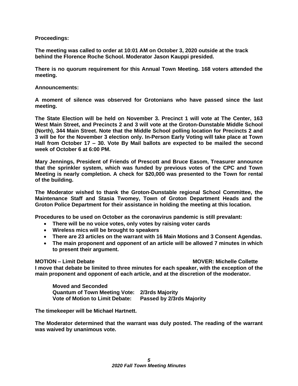#### **Proceedings:**

**The meeting was called to order at 10:01 AM on October 3, 2020 outside at the track behind the Florence Roche School. Moderator Jason Kauppi presided.**

**There is no quorum requirement for this Annual Town Meeting. 168 voters attended the meeting.**

#### **Announcements:**

**A moment of silence was observed for Grotonians who have passed since the last meeting.**

**The State Election will be held on November 3. Precinct 1 will vote at The Center, 163 West Main Street, and Precincts 2 and 3 will vote at the Groton-Dunstable Middle School (North), 344 Main Street. Note that the Middle School polling location for Precincts 2 and 3 will be for the November 3 election only. In-Person Early Voting will take place at Town Hall from October 17 – 30. Vote By Mail ballots are expected to be mailed the second week of October 6 at 6:00 PM.** 

**Mary Jennings, President of Friends of Prescott and Bruce Easom, Treasurer announce that the sprinkler system, which was funded by previous votes of the CPC and Town Meeting is nearly completion. A check for \$20,000 was presented to the Town for rental of the building.** 

**The Moderator wished to thank the Groton-Dunstable regional School Committee, the Maintenance Staff and Stasia Twomey, Town of Groton Department Heads and the Groton Police Department for their assistance in holding the meeting at this location.**

**Procedures to be used on October as the coronavirus pandemic is still prevalant:**

- **There will be no voice votes, only votes by raising voter cards**
- **Wireless mics will be brought to speakers**
- **There are 23 articles on the warrant with 16 Main Motions and 3 Consent Agendas.**
- **The main proponent and opponent of an article will be allowed 7 minutes in which to present their argument.**

#### **MOTION – Limit Debate MOVER: Michelle Collette**

**I move that debate be limited to three minutes for each speaker, with the exception of the main proponent and opponent of each article, and at the discretion of the moderator.**

**Moved and Seconded Quantum of Town Meeting Vote: 2/3rds Majority Vote of Motion to Limit Debate: Passed by 2/3rds Majority**

**The timekeeper will be Michael Hartnett.**

**The Moderator determined that the warrant was duly posted. The reading of the warrant was waived by unanimous vote.**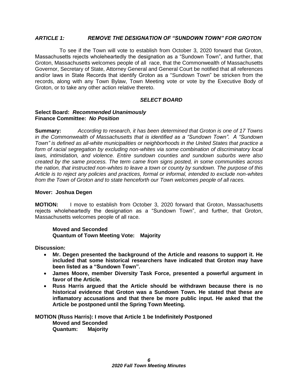#### *ARTICLE 1: REMOVE THE DESIGNATION OF "SUNDOWN TOWN" FOR GROTON*

 To see if the Town will vote to establish from October 3, 2020 forward that Groton, Massachusetts rejects wholeheartedly the designation as a "Sundown Town", and further, that Groton, Massachusetts welcomes people of all race, that the Commonwealth of Massachusetts Governor, Secretary of State, Attorney General and General Court be notified that all references and/or laws in State Records that identify Groton as a "Sundown Town" be stricken from the records, along with any Town Bylaw, Town Meeting vote or vote by the Executive Body of Groton, or to take any other action relative thereto.

#### *SELECT BOARD*

#### **Select Board:** *Recommended Unanimously* **Finance Committee:** *No Position*

**Summary:** *According to research, it has been determined that Groton is one of 17 Towns in the Commonwealth of Massachusetts that is identified as a "Sundown Town". A "Sundown Town" is defined as all-white municipalities or neighborhoods in the United States that practice a form of racial segregation by excluding non-whites via some combination of discriminatory local laws, intimidation, and violence. Entire sundown counties and sundown suburbs were also created by the same process. The term came from signs posted, in some communities across the nation, that instructed non-whites to leave a town or county by sundown. The purpose of this Article is to reject any policies and practices, formal or informal, intended to exclude non-whites from the Town of Groton and to state henceforth our Town welcomes people of all races.*

#### **Mover: Joshua Degen**

**MOTION:** I move to establish from October 3, 2020 forward that Groton, Massachusetts rejects wholeheartedly the designation as a "Sundown Town", and further, that Groton, Massachusetts welcomes people of all race.

#### **Moved and Seconded Quantum of Town Meeting Vote: Majority**

**Discussion:**

- **Mr. Degen presented the background of the Article and reasons to support it. He included that some historical researchers have indicated that Groton may have been listed as a "Sundown Town".**
- **James Moore, member Diversity Task Force, presented a powerful argument in favor of the Article.**
- **Russ Harris argued that the Article should be withdrawn because there is no historical evidence that Groton was a Sundown Town. He stated that these are inflamatory accusations and that there be more public input. He asked that the Article be postponed until the Spring Town Meeting.**

**MOTION (Russ Harris): I move that Article 1 be Indefinitely Postponed Moved and Seconded Quantum: Majority**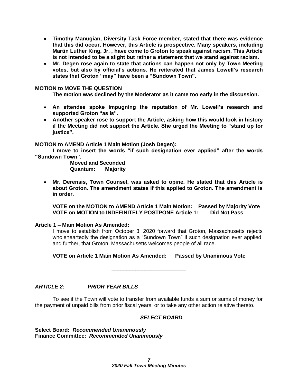- **Timothy Manugian, Diversity Task Force member, stated that there was evidence that this did occur. However, this Article is prospective. Many speakers, including Martin Luther King, Jr. , have come to Groton to speak against racism. This Article is not intended to be a slight but rather a statement that we stand against racism.**
- **Mr. Degen rose again to state that actions can happen not only by Town Meeting votes, but also by official's actions. He reiterated that James Lowell's research states that Groton "may" have been a "Sundown Town".**

#### **MOTION to MOVE THE QUESTION**

**The motion was declined by the Moderator as it came too early in the discussion.**

- **An attendee spoke impugning the reputation of Mr. Lowell's research and supported Groton "as is".**
- **Another speaker rose to support the Article, asking how this would look in history if the Meeting did not support the Article. She urged the Meeting to "stand up for justice".**

**MOTION to AMEND Article 1 Main Motion (Josh Degen):**

**I move to insert the words "if such designation ever applied" after the words "Sundown Town".**

**Moved and Seconded Quantum: Majority**

• **Mr. Derensis, Town Counsel, was asked to opine. He stated that this Article is about Groton. The amendment states if this applied to Groton. The amendment is in order.** 

**VOTE on the MOTION to AMEND Article 1 Main Motion: Passed by Majority Vote VOTE on MOTION to INDEFINITELY POSTPONE Article 1: Did Not Pass**

#### **Article 1 – Main Motion As Amended:**

I move to establish from October 3, 2020 forward that Groton, Massachusetts rejects wholeheartedly the designation as a "Sundown Town" if such designation ever applied, and further, that Groton, Massachusetts welcomes people of all race.

**VOTE on Article 1 Main Motion As Amended: Passed by Unanimous Vote**

\_\_\_\_\_\_\_\_\_\_\_\_\_\_\_\_\_\_\_\_\_\_\_\_\_

#### *ARTICLE 2: PRIOR YEAR BILLS*

To see if the Town will vote to transfer from available funds a sum or sums of money for the payment of unpaid bills from prior fiscal years, or to take any other action relative thereto.

#### *SELECT BOARD*

**Select Board:** *Recommended Unanimously* **Finance Committee:** *Recommended Unanimously*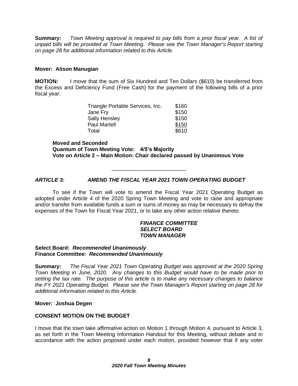**Summary:** *Town Meeting approval is required to pay bills from a prior fiscal year. A list of unpaid bills will be provided at Town Meeting. Please see the Town Manager's Report starting on page 28 for additional information related to this Article.*

#### **Mover: Alison Manugian**

**MOTION:** I move that the sum of Six Hundred and Ten Dollars (\$610) be transferred from the Excess and Deficiency Fund (Free Cash) for the payment of the following bills of a prior fiscal year:

| Triangle Portable Services, Inc. | \$160 |
|----------------------------------|-------|
| Jane Fry                         | \$150 |
| <b>Sally Hensley</b>             | \$150 |
| <b>Paul Martell</b>              | \$150 |
| Total                            | \$610 |

**Moved and Seconded Quantum of Town Meeting Vote: 4/5's Majority Vote on Article 2 – Main Motion: Chair declared passed by Unanimous Vote**

\_\_\_\_\_\_\_\_\_\_\_\_\_\_\_\_\_\_\_\_\_\_\_\_\_

#### *ARTICLE 3: AMEND THE FISCAL YEAR 2021 TOWN OPERATING BUDGET*

To see if the Town will vote to amend the Fiscal Year 2021 Operating Budget as adopted under Article 4 of the 2020 Spring Town Meeting and vote to raise and appropriate and/or transfer from available funds a sum or sums of money as may be necessary to defray the expenses of the Town for Fiscal Year 2021, or to take any other action relative thereto.

#### *FINANCE COMMITTEE SELECT BOARD TOWN MANAGER*

#### **Select Board:** *Recommended Unanimously* **Finance Committee:** *Recommended Unanimously*

**Summary:** *The Fiscal Year 2021 Town Operating Budget was approved at the 2020 Spring Town Meeting in June, 2020. Any changes to this Budget would have to be made prior to setting the tax rate. The purpose of this article is to make any necessary changes to balance the FY 2021 Operating Budget. Please see the Town Manager's Report starting on page 28 for additional information related to this Article.*

#### **Mover: Joshua Degen**

#### **CONSENT MOTION ON THE BUDGET**

I move that the town take affirmative action on Motion 1 through Motion 4, pursuant to Article 3, as set forth in the Town Meeting Information Handout for this Meeting, without debate and in accordance with the action proposed under each motion, provided however that if any voter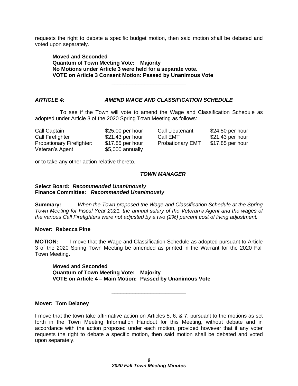requests the right to debate a specific budget motion, then said motion shall be debated and voted upon separately.

**Moved and Seconded Quantum of Town Meeting Vote: Majority No Motions under Article 3 were held for a separate vote. VOTE on Article 3 Consent Motion: Passed by Unanimous Vote**

#### *ARTICLE 4: AMEND WAGE AND CLASSIFICATION SCHEDULE*

 To see if the Town will vote to amend the Wage and Classification Schedule as adopted under Article 3 of the 2020 Spring Town Meeting as follows:

\_\_\_\_\_\_\_\_\_\_\_\_\_\_\_\_\_\_\_\_\_\_\_\_\_

| Call Captain                     | \$25.00 per hour  | Call Lieutenant         | \$24.50 per hour |
|----------------------------------|-------------------|-------------------------|------------------|
| Call Firefighter                 | $$21.43$ per hour | Call EMT                | \$21.43 per hour |
| <b>Probationary Firefighter:</b> | $$17.85$ per hour | <b>Probationary EMT</b> | \$17.85 per hour |
| Veteran's Agent                  | \$5,000 annually  |                         |                  |

or to take any other action relative thereto.

#### *TOWN MANAGER*

#### **Select Board:** *Recommended Unanimously* **Finance Committee:** *Recommended Unanimously*

**Summary:** *When the Town proposed the Wage and Classification Schedule at the Spring Town Meeting for Fiscal Year 2021, the annual salary of the Veteran's Agent and the wages of the various Call Firefighters were not adjusted by a two (2%) percent cost of living adjustment.*

#### **Mover: Rebecca Pine**

**MOTION:** I move that the Wage and Classification Schedule as adopted pursuant to Article 3 of the 2020 Spring Town Meeting be amended as printed in the Warrant for the 2020 Fall Town Meeting.

**Moved and Seconded Quantum of Town Meeting Vote: Majority VOTE on Article 4 – Main Motion: Passed by Unanimous Vote**

**Mover: Tom Delaney**

I move that the town take affirmative action on Articles 5, 6, & 7, pursuant to the motions as set forth in the Town Meeting Information Handout for this Meeting, without debate and in accordance with the action proposed under each motion, provided however that if any voter requests the right to debate a specific motion, then said motion shall be debated and voted upon separately.

\_\_\_\_\_\_\_\_\_\_\_\_\_\_\_\_\_\_\_\_\_\_\_\_\_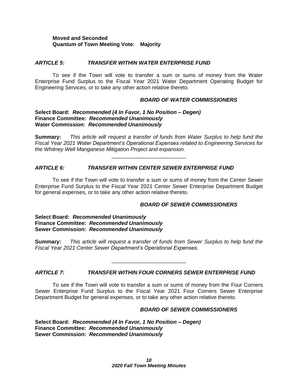#### **Moved and Seconded Quantum of Town Meeting Vote: Majority**

#### *ARTICLE 5: TRANSFER WITHIN WATER ENTERPRISE FUND*

To see if the Town will vote to transfer a sum or sums of money from the Water Enterprise Fund Surplus to the Fiscal Year 2021 Water Department Operating Budget for Engineering Services, or to take any other action relative thereto.

#### *BOARD OF WATER COMMISSIONERS*

#### **Select Board:** *Recommended (4 In Favor, 1 No Position – Degen)* **Finance Committee:** *Recommended Unanimously* **Water Commission:** *Recommended Unanimously*

**Summary:** *This article will request a transfer of funds from Water Surplus to help fund the Fiscal Year 2021 Water Department's Operational Expenses related to Engineering Services for the Whitney Well Manganese Mitigation Project and expansion.*

\_\_\_\_\_\_\_\_\_\_\_\_\_\_\_\_\_\_\_\_\_\_\_\_\_

#### *ARTICLE 6: TRANSFER WITHIN CENTER SEWER ENTERPRISE FUND*

To see if the Town will vote to transfer a sum or sums of money from the Center Sewer Enterprise Fund Surplus to the Fiscal Year 2021 Center Sewer Enterprise Department Budget for general expenses, or to take any other action relative thereto.

#### *BOARD OF SEWER COMMISSIONERS*

#### **Select Board:** *Recommended Unanimously* **Finance Committee:** *Recommended Unanimously* **Sewer Commission:** *Recommended Unanimously*

**Summary:** *This article will request a transfer of funds from Sewer Surplus to help fund the Fiscal Year 2021 Center Sewer Department's Operational Expenses.*

\_\_\_\_\_\_\_\_\_\_\_\_\_\_\_\_\_\_\_\_\_\_\_\_\_

#### *ARTICLE 7: TRANSFER WITHIN FOUR CORNERS SEWER ENTERPRISE FUND*

To see if the Town will vote to transfer a sum or sums of money from the Four Corners Sewer Enterprise Fund Surplus to the Fiscal Year 2021 Four Corners Sewer Enterprise Department Budget for general expenses, or to take any other action relative thereto.

#### *BOARD OF SEWER COMMISSIONERS*

**Select Board:** *Recommended (4 In Favor, 1 No Position – Degen)* **Finance Committee:** *Recommended Unanimously* **Sewer Commission:** *Recommended Unanimously*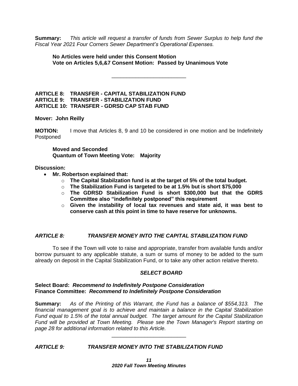**Summary:** *This article will request a transfer of funds from Sewer Surplus to help fund the Fiscal Year 2021 Four Corners Sewer Department's Operational Expenses.*

\_\_\_\_\_\_\_\_\_\_\_\_\_\_\_\_\_\_\_\_\_\_\_\_\_

#### **No Articles were held under this Consent Motion Vote on Articles 5,6,&7 Consent Motion: Passed by Unanimous Vote**

**ARTICLE 8: TRANSFER - CAPITAL STABILIZATION FUND ARTICLE 9: TRANSFER - STABILIZATION FUND ARTICLE 10: TRANSFER - GDRSD CAP STAB FUND**

#### **Mover: John Reilly**

**MOTION:** I move that Articles 8, 9 and 10 be considered in one motion and be Indefinitely Postponed

**Moved and Seconded Quantum of Town Meeting Vote: Majority**

#### **Discussion:**

- **Mr. Robertson explained that:**
	- o **The Capital Stabilzation fund is at the target of 5% of the total budget.**
	- o **The Stabilization Fund is targeted to be at 1.5% but is short \$75,000**
	- o **The GDRSD Stabilization Fund is short \$300,000 but that the GDRS Committee also "indefinitely postponed" this requirement**
	- o **Given the instability of local tax revenues and state aid, it was best to conserve cash at this point in time to have reserve for unknowns.**

#### *ARTICLE 8: TRANSFER MONEY INTO THE CAPITAL STABILIZATION FUND*

To see if the Town will vote to raise and appropriate, transfer from available funds and/or borrow pursuant to any applicable statute, a sum or sums of money to be added to the sum already on deposit in the Capital Stabilization Fund, or to take any other action relative thereto.

#### *SELECT BOARD*

#### **Select Board:** *Recommend to Indefinitely Postpone Consideration* **Finance Committee:** *Recommend to Indefinitely Postpone Consideration*

**Summary:** *As of the Printing of this Warrant, the Fund has a balance of \$554,313. The financial management goal is to achieve and maintain a balance in the Capital Stabilization Fund equal to 1.5% of the total annual budget. The target amount for the Capital Stabilization Fund will be provided at Town Meeting. Please see the Town Manager's Report starting on page 28 for additional information related to this Article.*

\_\_\_\_\_\_\_\_\_\_\_\_\_\_\_\_\_\_\_\_\_\_\_\_\_

#### *ARTICLE 9: TRANSFER MONEY INTO THE STABILIZATION FUND*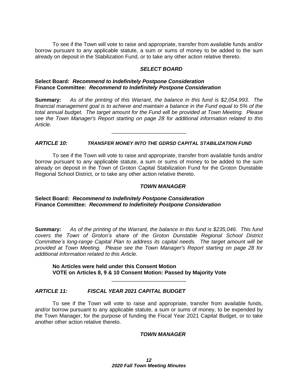To see if the Town will vote to raise and appropriate, transfer from available funds and/or borrow pursuant to any applicable statute, a sum or sums of money to be added to the sum already on deposit in the Stabilization Fund, or to take any other action relative thereto.

#### *SELECT BOARD*

#### **Select Board:** *Recommend to Indefinitely Postpone Consideration* **Finance Committee:** *Recommend to Indefinitely Postpone Consideration*

**Summary:** *As of the printing of this Warrant, the balance in this fund is \$2,054,993. The financial management goal is to achieve and maintain a balance in the Fund equal to 5% of the total annual budget. The target amount for the Fund will be provided at Town Meeting. Please see the Town Manager's Report starting on page 28 for additional information related to this Article.*

\_\_\_\_\_\_\_\_\_\_\_\_\_\_\_\_\_\_\_\_\_\_\_\_\_

#### *ARTICLE 10: TRANSFER MONEY INTO THE GDRSD CAPITAL STABILIZATION FUND*

To see if the Town will vote to raise and appropriate, transfer from available funds and/or borrow pursuant to any applicable statute, a sum or sums of money to be added to the sum already on deposit in the Town of Groton Capital Stabilization Fund for the Groton Dunstable Regional School District, or to take any other action relative thereto.

#### *TOWN MANAGER*

#### **Select Board:** *Recommend to Indefinitely Postpone Consideration*  **Finance Committee:** *Recommend to Indefinitely Postpone Consideration*

**Summary:** *As of the printing of the Warrant, the balance in this fund is \$235,046. This fund covers the Town of Groton's share of the Groton Dunstable Regional School District Committee's long-range Capital Plan to address its capital needs. The target amount will be provided at Town Meeting. Please see the Town Manager's Report starting on page 28 for additional information related to this Article.*

#### **No Articles were held under this Consent Motion VOTE on Articles 8, 9 & 10 Consent Motion: Passed by Majority Vote**

#### *ARTICLE 11: FISCAL YEAR 2021 CAPITAL BUDGET*

To see if the Town will vote to raise and appropriate, transfer from available funds, and/or borrow pursuant to any applicable statute, a sum or sums of money, to be expended by the Town Manager, for the purpose of funding the Fiscal Year 2021 Capital Budget, or to take another other action relative thereto.

\_\_\_\_\_\_\_\_\_\_\_\_\_\_\_\_\_\_\_\_\_\_\_\_\_

#### *TOWN MANAGER*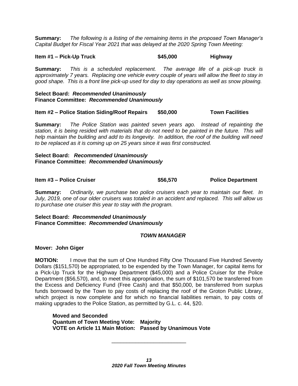**Summary:** *The following is a listing of the remaining items in the proposed Town Manager's Capital Budget for Fiscal Year 2021 that was delayed at the 2020 Spring Town Meeting:*

#### **Item #1 – Pick-Up Truck \$45,000 Highway**

**Summary:** *This is a scheduled replacement. The average life of a pick-up truck is approximately 7 years. Replacing one vehicle every couple of years will allow the fleet to stay in good shape. This is a front line pick-up used for day to day operations as well as snow plowing.* 

**Select Board:** *Recommended Unanimously* **Finance Committee:** *Recommended Unanimously*

**Item #2 – Police Station Siding/Roof Repairs \$50,000 Town Facilities**

**Summary:** *The Police Station was painted seven years ago. Instead of repainting the station, it is being resided with materials that do not need to be painted in the future. This will help maintain the building and add to its longevity. In addition, the roof of the building will need to be replaced as it is coming up on 25 years since it was first constructed.*

**Select Board:** *Recommended Unanimously* **Finance Committee:** *Recommended Unanimously*

**Item #3 – Police Cruiser \$56,570 Police Department**

**Summary:** *Ordinarily, we purchase two police cruisers each year to maintain our fleet. In July, 2019, one of our older cruisers was totaled in an accident and replaced. This will allow us to purchase one cruiser this year to stay with the program.* 

**Select Board:** *Recommended Unanimously* **Finance Committee:** *Recommended Unanimously*

#### *TOWN MANAGER*

**Mover: John Giger**

**MOTION:** I move that the sum of One Hundred Fifty One Thousand Five Hundred Seventy Dollars (\$151,570) be appropriated, to be expended by the Town Manager, for capital items for a Pick-Up Truck for the Highway Department (\$45,000) and a Police Cruiser for the Police Department (\$56,570), and, to meet this appropriation, the sum of \$101,570 be transferred from the Excess and Deficiency Fund (Free Cash) and that \$50,000, be transferred from surplus funds borrowed by the Town to pay costs of replacing the roof of the Groton Public Library, which project is now complete and for which no financial liabilities remain, to pay costs of making upgrades to the Police Station, as permitted by G.L. c. 44, §20.

**Moved and Seconded Quantum of Town Meeting Vote: Majority VOTE on Article 11 Main Motion: Passed by Unanimous Vote**

\_\_\_\_\_\_\_\_\_\_\_\_\_\_\_\_\_\_\_\_\_\_\_\_\_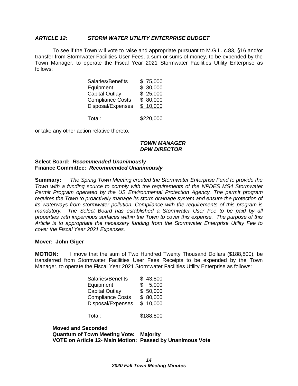#### *ARTICLE 12: STORM WATER UTILITY ENTERPRISE BUDGET*

To see if the Town will vote to raise and appropriate pursuant to M.G.L. c.83, §16 and/or transfer from Stormwater Facilities User Fees, a sum or sums of money, to be expended by the Town Manager, to operate the Fiscal Year 2021 Stormwater Facilities Utility Enterprise as follows:

| Salaries/Benefits       | \$75,000  |
|-------------------------|-----------|
| Equipment               | \$30,000  |
| <b>Capital Outlay</b>   | \$25,000  |
| <b>Compliance Costs</b> | \$80,000  |
| Disposal/Expenses       | \$10,000  |
|                         |           |
| Total:                  | \$220,000 |

or take any other action relative thereto.

#### *TOWN MANAGER DPW DIRECTOR*

#### **Select Board:** *Recommended Unanimously* **Finance Committee:** *Recommended Unanimously*

**Summary:** *The Spring Town Meeting created the Stormwater Enterprise Fund to provide the Town with a funding source to comply with the requirements of the NPDES MS4 Stormwater Permit Program operated by the US Environmental Protection Agency. The permit program requires the Town to proactively manage its storm drainage system and ensure the protection of its waterways from stormwater pollution. Compliance with the requirements of this program is mandatory.* The Select Board has established a Stormwater User Fee to be paid by all *properties with impervious surfaces within the Town to cover this expense. The purpose of this Article is to appropriate the necessary funding from the Stormwater Enterprise Utility Fee to cover the Fiscal Year 2021 Expenses.*

#### **Mover: John Giger**

**MOTION:** I move that the sum of Two Hundred Twenty Thousand Dollars (\$188,800), be transferred from Stormwater Facilities User Fees Receipts to be expended by the Town Manager, to operate the Fiscal Year 2021 Stormwater Facilities Utility Enterprise as follows:

| Salaries/Benefits<br>Equipment<br><b>Capital Outlay</b><br><b>Compliance Costs</b><br>Disposal/Expenses | \$43,800<br>5,000<br>\$<br>\$50,000<br>\$80,000<br>\$10,000 |
|---------------------------------------------------------------------------------------------------------|-------------------------------------------------------------|
| Total:                                                                                                  | \$188,800                                                   |

**Moved and Seconded Quantum of Town Meeting Vote: Majority VOTE on Article 12- Main Motion: Passed by Unanimous Vote**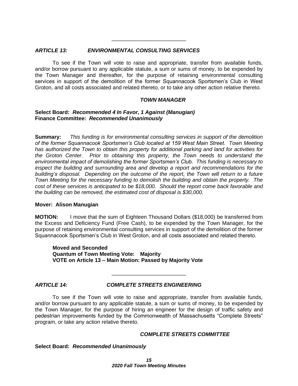#### *ARTICLE 13: ENVIRONMENTAL CONSULTING SERVICES*

To see if the Town will vote to raise and appropriate, transfer from available funds, and/or borrow pursuant to any applicable statute, a sum or sums of money, to be expended by the Town Manager and thereafter, for the purpose of retaining environmental consulting services in support of the demolition of the former Squannacook Sportsmen's Club in West Groton, and all costs associated and related thereto, or to take any other action relative thereto.

\_\_\_\_\_\_\_\_\_\_\_\_\_\_\_\_\_\_\_\_\_\_\_\_\_

#### *TOWN MANAGER*

#### **Select Board:** *Recommended 4 In Favor, 1 Against (Manugian)* **Finance Committee:** *Recommended Unanimously*

**Summary:** *This funding is for environmental consulting services in support of the demolition of the former Squannacook Sportsmen's Club located at 159 West Main Street. Town Meeting has authorized the Town to obtain this property for additional parking and land for activities for the Groton Center. Prior to obtaining this property, the Town needs to understand the environmental impact of demolishing the former Sportsmen's Club. This funding is necessary to inspect the building and surrounding area and develop a report and recommendations for the building's disposal. Depending on the outcome of the report, the Town will return to a future Town Meeting for the necessary funding to demolish the building and obtain the property. The cost of these services is anticipated to be \$18,000. Should the report come back favorable and the building can be removed, the estimated cost of disposal is \$30,000.*

#### **Mover: Alison Manugian**

**MOTION:** I move that the sum of Eighteen Thousand Dollars (\$18,000) be transferred from the Excess and Deficiency Fund (Free Cash), to be expended by the Town Manager, for the purpose of retaining environmental consulting services in support of the demolition of the former Squannacook Sportsmen's Club in West Groton, and all costs associated and related thereto.

**Moved and Seconded Quantum of Town Meeting Vote: Majority VOTE on Article 13 – Main Motion: Passed by Majority Vote**

#### *ARTICLE 14: COMPLETE STREETS ENGINEERING*

\_\_\_\_\_\_\_\_\_\_\_\_\_\_\_\_\_\_\_\_\_\_\_\_\_

To see if the Town will vote to raise and appropriate, transfer from available funds, and/or borrow pursuant to any applicable statute, a sum or sums of money, to be expended by the Town Manager, for the purpose of hiring an engineer for the design of traffic safety and pedestrian improvements funded by the Commonwealth of Massachusetts "Complete Streets" program, or take any action relative thereto.

#### *COMPLETE STREETS COMMITTEE*

#### **Select Board:** *Recommended Unanimously*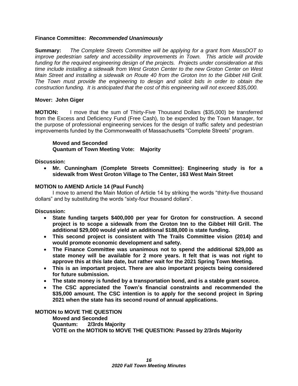#### **Finance Committee:** *Recommended Unanimously*

**Summary:** *The Complete Streets Committee will be applying for a grant from MassDOT to improve pedestrian safety and accessibility improvements in Town. This article will provide funding for the required engineering design of the projects. Projects under consideration at this time include installing a sidewalk from West Groton Center to the new Groton Center on West Main Street and installing a sidewalk on Route 40 from the Groton Inn to the Gibbet Hill Grill. The Town must provide the engineering to design and solicit bids in order to obtain the construction funding. It is anticipated that the cost of this engineering will not exceed \$35,000.*

#### **Mover: John Giger**

**MOTION:** I move that the sum of Thirty-Five Thousand Dollars (\$35,000) be transferred from the Excess and Deficiency Fund (Free Cash), to be expended by the Town Manager, for the purpose of professional engineering services for the design of traffic safety and pedestrian improvements funded by the Commonwealth of Massachusetts "Complete Streets" program.

**Moved and Seconded Quantum of Town Meeting Vote: Majority**

**Discussion:**

• **Mr. Cunningham (Complete Streets Committee): Engineering study is for a sidewalk from West Groton Village to The Center, 163 West Main Street**

#### **MOTION to AMEND Article 14 (Paul Funch)**

I move to amend the Main Motion of Article 14 by striking the words "thirty-five thousand dollars" and by substituting the words "sixty-four thousand dollars".

**Discussion:**

- **State funding targets \$400,000 per year for Groton for construction. A second project is to scope a sidewalk from the Groton Inn to the Gibbet Hill Grill. The additional \$29,000 would yield an additional \$188,000 is state funding.**
- **This second project is consistent with The Trails Committee vision (2014) and would promote economic development and safety.**
- **The Finance Committee was unanimous not to spend the additional \$29,000 as state money will be available for 2 more years. It felt that is was not right to approve this at this late date, but rather wait for the 2021 Spring Town Meeting.**
- **This is an important project. There are also important projects being considered for future submission.**
- **The state money is funded by a transportation bond, and is a stable grant source.**
- **The CSC appreciated the Town's financial constraints and recommended the \$35,000 amount. The CSC intention is to apply for the second project in Spring 2021 when the state has its second round of annual applications.**

### **MOTION to MOVE THE QUESTION**

**Moved and Seconded Quantum: 2/3rds Majority VOTE on the MOTION to MOVE THE QUESTION: Passed by 2/3rds Majority**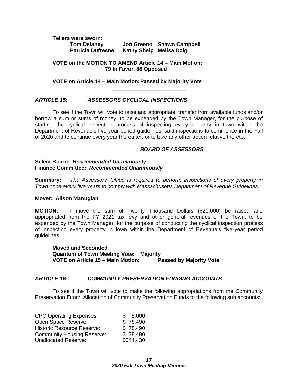**Tellers were sworn: Tom Delaney Jon Greeno Shawn Campbell Patricia Dufresne Kathy Shelp Melisa Doig**

**VOTE on the MOTION TO AMEND Article 14 – Main Motion: 79 In Favor, 88 Opposed**

#### **VOTE on Article 14 – Main Motion:Passed by Majority Vote**

#### *ARTICLE 15: ASSESSORS CYCLICAL INSPECTIONS*

To see if the Town will vote to raise and appropriate, transfer from available funds and/or borrow a sum or sums of money, to be expended by the Town Manager, for the purpose of starting the cyclical inspection process of inspecting every property in town within the Department of Revenue's five year period guidelines, said inspections to commence in the Fall of 2020 and to continue every year thereafter, or to take any other action relative thereto.

\_\_\_\_\_\_\_\_\_\_\_\_\_\_\_\_\_\_\_\_\_\_\_\_\_

#### *BOARD OF ASSESSORS*

#### **Select Board:** *Recommended Unanimously* **Finance Committee:** *Recommended Unanimously*

**Summary:** *The Assessors' Office is required to perform inspections of every property in Town once every five years to comply with Massachusetts Department of Revenue Guidelines.*

#### **Mover: Alison Manugian**

**MOTION:** I move the sum of Twenty Thousand Dollars (\$20,000) be raised and appropriated from the FY 2021 tax levy and other general revenues of the Town, to be expended by the Town Manager, for the purpose of conducting the cyclical inspection process of inspecting every property in town within the Department of Revenue's five-year period guidelines.

**Moved and Seconded Quantum of Town Meeting Vote: Majority VOTE on Article 15 – Main Motion: Passed by Majority Vote**

#### *ARTICLE 16: COMMUNITY PRESERVATION FUNDING ACCOUNTS*

To see if the Town will vote to make the following appropriations from the Community Preservation Fund: Allocation of Community Preservation Funds to the following sub accounts:

\_\_\_\_\_\_\_\_\_\_\_\_\_\_\_\_\_\_\_\_\_\_\_\_\_

| <b>CPC Operating Expenses:</b>    | \$5,000   |
|-----------------------------------|-----------|
| Open Space Reserve:               | \$78,490  |
| <b>Historic Resource Reserve:</b> | \$78,490  |
| <b>Community Housing Reserve:</b> | \$78,490  |
| <b>Unallocated Reserve:</b>       | \$544,430 |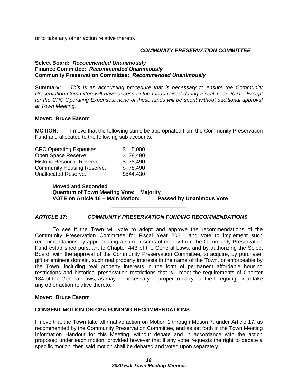or to take any other action relative thereto.

#### *COMMUNITY PRESERVATION COMMITTEE*

#### **Select Board:** *Recommended Unanimously* **Finance Committee:** *Recommended Unanimously* **Community Preservation Committee:** *Recommended Unanimously*

**Summary:** *This is an accounting procedure that is necessary to ensure the Community Preservation Committee will have access to the funds raised during Fiscal Year 2021. Except for the CPC Operating Expenses, none of these funds will be spent without additional approval at Town Meeting.* 

#### **Mover: Bruce Easom**

**MOTION:** I move that the following sums be appropriated from the Community Preservation Fund and allocated to the following sub accounts:

| <b>CPC Operating Expenses:</b>    | \$5,000   |
|-----------------------------------|-----------|
| Open Space Reserve:               | \$78,490  |
| <b>Historic Resource Reserve:</b> | \$78,490  |
| <b>Community Housing Reserve:</b> | \$78,490  |
| <b>Unallocated Reserve:</b>       | \$544,430 |

**Moved and Seconded Quantum of Town Meeting Vote: Majority VOTE on Article 16 – Main Motion: Passed by Unanimous Vote**

#### *ARTICLE 17: COMMUNITY PRESERVATION FUNDING RECOMMENDATIONS*

\_\_\_\_\_\_\_\_\_\_\_\_\_\_\_\_\_\_\_\_\_\_\_\_\_

To see if the Town will vote to adopt and approve the recommendations of the Community Preservation Committee for Fiscal Year 2021, and vote to implement such recommendations by appropriating a sum or sums of money from the Community Preservation Fund established pursuant to Chapter 44B of the General Laws, and by authorizing the Select Board, with the approval of the Community Preservation Committee, to acquire, by purchase, gift or eminent domain, such real property interests in the name of the Town, or enforceable by the Town, including real property interests in the form of permanent affordable housing restrictions and historical preservation restrictions that will meet the requirements of Chapter 184 of the General Laws, as may be necessary or proper to carry out the foregoing, or to take any other action relative thereto.

#### **Mover: Bruce Easom**

#### **CONSENT MOTION ON CPA FUNDING RECOMMENDATIONS**

I move that the Town take affirmative action on Motion 1 through Motion 7, under Article 17, as recommended by the Community Preservation Committee, and as set forth in the Town Meeting Information Handout for this Meeting, without debate and in accordance with the action proposed under each motion, provided however that if any voter requests the right to debate a specific motion, then said motion shall be debated and voted upon separately.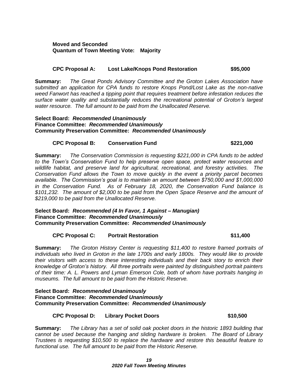#### **Moved and Seconded Quantum of Town Meeting Vote: Majority**

#### **CPC Proposal A: Lost Lake/Knops Pond Restoration \$95,000**

**Summary:** *The Great Ponds Advisory Committee and the Groton Lakes Association have submitted an application for CPA funds to restore Knops Pond/Lost Lake as the non-native weed Fanwort has reached a tipping point that requires treatment before infestation reduces the surface water quality and substantially reduces the recreational potential of Groton's largest water resource. The full amount to be paid from the Unallocated Reserve.*

#### **Select Board:** *Recommended Unanimously* **Finance Committee:** *Recommended Unanimously* **Community Preservation Committee:** *Recommended Unanimously*

#### **CPC Proposal B: Conservation Fund \$221,000**

**Summary:** *The Conservation Commission is requesting \$221,000 in CPA funds to be added to the Town's Conservation Fund to help preserve open space, protect water resources and wildlife habitat, and preserve land for agricultural, recreational, and forestry activities. The Conservation Fund allows the Town to move quickly in the event a priority parcel becomes available. The Commission's goal is to maintain an amount between \$750,000 and \$1,000,000 in the Conservation Fund. As of February 18, 2020, the Conservation Fund balance is \$101,232. The amount of \$2,000 to be paid from the Open Space Reserve and the amount of \$219,000 to be paid from the Unallocated Reserve.*

#### **Select Board:** *Recommended (4 In Favor, 1 Against – Manugian)* **Finance Committee:** *Recommended Unanimously* **Community Preservation Committee:** *Recommended Unanimously*

#### **CPC Proposal C: Portrait Restoration \$11,400**

**Summary:** *The Groton History Center is requesting \$11,400 to restore framed portraits of individuals who lived in Groton in the late 1700s and early 1800s. They would like to provide their visitors with access to these interesting individuals and their back story to enrich their knowledge of Groton's history. All three portraits were painted by distinguished portrait painters of their time: A. L. Powers and Lyman Emerson Cole, both of whom have portraits hanging in museums. The full amount to be paid from the Historic Reserve.*

#### **Select Board:** *Recommended Unanimously* **Finance Committee:** *Recommended Unanimously* **Community Preservation Committee:** *Recommended Unanimously*

#### **CPC Proposal D: Library Pocket Doors \$10,500**

**Summary:** *The Library has a set of solid oak pocket doors in the historic 1893 building that cannot be used because the hanging and sliding hardware is broken. The Board of Library Trustees is requesting \$10,500 to replace the hardware and restore this beautiful feature to functional use. The full amount to be paid from the Historic Reserve.*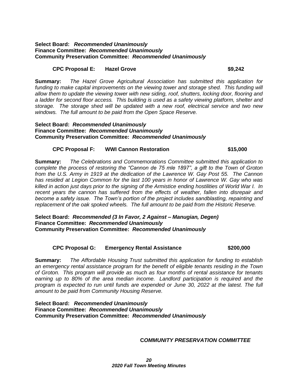#### **Select Board:** *Recommended Unanimously* **Finance Committee:** *Recommended Unanimously* **Community Preservation Committee:** *Recommended Unanimously*

#### **CPC Proposal E: Hazel Grove \$9,242**

**Summary:** *The Hazel Grove Agricultural Association has submitted this application for funding to make capital improvements on the viewing tower and storage shed. This funding will allow them to update the viewing tower with new siding, roof, shutters, locking door, flooring and a ladder for second floor access. This building is used as a safety viewing platform, shelter and storage. The storage shed will be updated with a new roof, electrical service and two new windows. The full amount to be paid from the Open Space Reserve.*

#### **Select Board:** *Recommended Unanimously* **Finance Committee:** *Recommended Unanimously* **Community Preservation Committee:** *Recommended Unanimously*

#### **CPC Proposal F: WWI Cannon Restoration \$15,000**

**Summary:** *The Celebrations and Commemorations Committee submitted this application to complete the process of restoring the "Cannon de 75 mle 1897", a gift to the Town of Groton from the U.S. Army in 1919 at the dedication of the Lawrence W. Gay Post 55. The Cannon has resided at Legion Common for the last 100 years in honor of Lawrence W. Gay who was killed in action just days prior to the signing of the Armistice ending hostilities of World War I. In recent years the cannon has suffered from the effects of weather, fallen into disrepair and become a safety issue. The Town's portion of the project includes sandblasting, repainting and replacement of the oak spoked wheels. The full amount to be paid from the Historic Reserve.*

**Select Board:** *Recommended (3 In Favor, 2 Against – Manugian, Degen)* **Finance Committee:** *Recommended Unanimously* **Community Preservation Committee:** *Recommended Unanimously*

#### **CPC Proposal G: Emergency Rental Assistance \$200,000**

**Summary:** *The Affordable Housing Trust submitted this application for funding to establish an emergency rental assistance program for the benefit of eligible tenants residing in the Town of Groton. This program will provide as much as four months of rental assistance for tenants earning up to 80% of the area median income. Landlord participation is required and the program is expected to run until funds are expended or June 30, 2022 at the latest. The full amount to be paid from Community Housing Reserve.*

**Select Board:** *Recommended Unanimously* **Finance Committee:** *Recommended Unanimously* **Community Preservation Committee:** *Recommended Unanimously*

#### **C***OMMUNITY PRESERVATION COMMITTEE*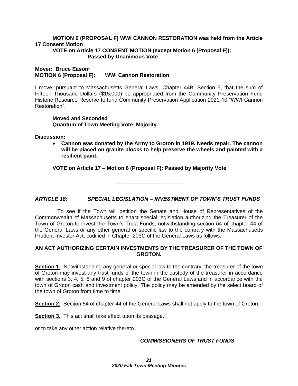### **MOTION 6 (PROPOSAL F) WWI CANNON RESTORATION was held from the Article 17 Consent Motion**

#### **VOTE on Article 17 CONSENT MOTION (except Motion 6 (Proposal F)): Passed by Unanimous Vote**

**Mover: Bruce Easom MOTION 6 (Proposal F): WWI Cannon Restoration**

I move, pursuant to Massachusetts General Laws, Chapter 44B, Section 5, that the sum of Fifteen Thousand Dollars (\$15,000) be appropriated from the Community Preservation Fund Historic Resource Reserve to fund Community Preservation Application 2021-10 "WWI Cannon Restoration".

**Moved and Seconded Quantum of Town Meeting Vote: Majority**

**Discussion:**

• **Cannon was donated by the Army to Groton in 1919. Needs repair. The cannon will be placed on granite blocks to help preserve the wheels and painted with a resilient paint.**

**VOTE on Article 17 – Motion 6 (Proposal F): Passed by Majority Vote**

\_\_\_\_\_\_\_\_\_\_\_\_\_\_\_\_\_\_\_\_\_\_\_

#### *ARTICLE 18: SPECIAL LEGISLATION – INVESTMENT OF TOWN'S TRUST FUNDS*

 To see if the Town will petition the Senate and House of Representatives of the Commonwealth of Massachusetts to enact special legislation authorizing the Treasurer of the Town of Groton to invest the Town's Trust Funds, notwithstanding section 54 of chapter 44 of the General Laws or any other general or specific law to the contrary with the Massachusetts Prudent Investor Act, codified in Chapter 203C of the General Laws as follows:

#### **AN ACT AUTHORIZING CERTAIN INVESTMENTS BY THE TREASURER OF THE TOWN OF GROTON.**

**Section 1.** Notwithstanding any general or special law to the contrary, the treasurer of the town of Groton may invest any trust funds of the town in the custody of the treasurer in accordance with sections 3, 4, 5, 8 and 9 of chapter 203C of the General Laws and in accordance with the town of Groton cash and investment policy. The policy may be amended by the select board of the town of Groton from time to time.

**Section 2.** Section 54 of chapter 44 of the General Laws shall not apply to the town of Groton.

**Section 3.** This act shall take effect upon its passage.

or to take any other action relative thereto.

#### *COMMISSIONERS OF TRUST FUNDS*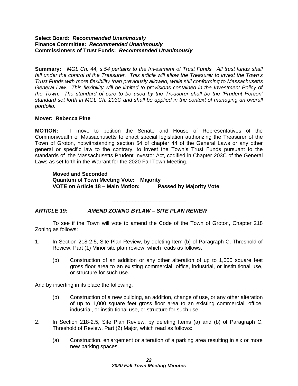#### **Select Board:** *Recommended Unanimously* **Finance Committee:** *Recommended Unanimously* **Commissioners of Trust Funds:** *Recommended Unanimously*

**Summary:** *MGL Ch. 44, s.54 pertains to the Investment of Trust Funds. All trust funds shall fall under the control of the Treasurer. This article will allow the Treasurer to invest the Town's Trust Funds with more flexibility than previously allowed, while still conforming to Massachusetts General Law. This flexibility will be limited to provisions contained in the Investment Policy of the Town. The standard of care to be used by the Treasurer shall be the 'Prudent Person' standard set forth in MGL Ch. 203C and shall be applied in the context of managing an overall portfolio.*

#### **Mover: Rebecca Pine**

**MOTION:** I move to petition the Senate and House of Representatives of the Commonwealth of Massachusetts to enact special legislation authorizing the Treasurer of the Town of Groton, notwithstanding section 54 of chapter 44 of the General Laws or any other general or specific law to the contrary, to invest the Town's Trust Funds pursuant to the standards of the Massachusetts Prudent Investor Act, codified in Chapter 203C of the General Laws as set forth in the Warrant for the 2020 Fall Town Meeting.

**Moved and Seconded Quantum of Town Meeting Vote: Majority VOTE on Article 18 – Main Motion: Passed by Majority Vote**

### *ARTICLE 19: AMEND ZONING BYLAW – SITE PLAN REVIEW*

To see if the Town will vote to amend the Code of the Town of Groton, Chapter 218 Zoning as follows:

\_\_\_\_\_\_\_\_\_\_\_\_\_\_\_\_\_\_\_\_\_\_\_\_\_

- 1. In Section 218-2.5, Site Plan Review, by deleting Item (b) of Paragraph C, Threshold of Review, Part (1) Minor site plan review, which reads as follows:
	- (b) Construction of an addition or any other alteration of up to 1,000 square feet gross floor area to an existing commercial, office, industrial, or institutional use, or structure for such use.

And by inserting in its place the following:

- (b) Construction of a new building, an addition, change of use, or any other alteration of up to 1,000 square feet gross floor area to an existing commercial, office, industrial, or institutional use, or structure for such use.
- 2. In Section 218-2.5, Site Plan Review, by deleting Items (a) and (b) of Paragraph C, Threshold of Review, Part (2) Major, which read as follows:
	- (a) Construction, enlargement or alteration of a parking area resulting in six or more new parking spaces.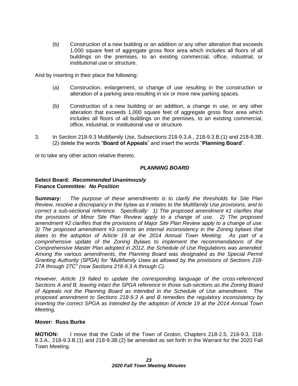(b) Construction of a new building or an addition or any other alteration that exceeds 1,000 square feet of aggregate gross floor area which includes all floors of all buildings on the premises, to an existing commercial, office, industrial, or institutional use or structure.

And by inserting in their place the following:

- (a) Construction, enlargement, or change of use resulting in the construction or alteration of a parking area resulting in six or more new parking spaces.
- (b) Construction of a new building or an addition, a change in use, or any other alteration that exceeds 1,000 square feet of aggregate gross floor area which includes all floors of all buildings on the premises, to an existing commercial, office, industrial, or institutional use or structure.
- 3. In Section 218-9.3 Multifamily Use, Subsections 218-9.3.A., 218-9.3.B.(1) and 218-9.3B. (2) delete the words "**Board of Appeals**" and insert the words "**Planning Board**".

or to take any other action relative thereto.

#### *PLANNING BOARD*

#### **Select Board:** *Recommended Unanimously* **Finance Committee:** *No Position*

**Summary:** *The purpose of these amendments is to clarify the thresholds for Site Plan Review, resolve a discrepancy in the bylaw as it relates to the Multifamily Use provisions, and to correct a sub-sectional reference. Specifically: 1) The proposed amendment #1 clarifies that the provisions of Minor Site Plan Review apply to a change of use. 2) The proposed amendment #2 clarifies that the provisions of Major Site Plan Review apply to a change of use. 3) The proposed amendment #3 corrects an internal inconsistency in the Zoning bylaws that*  dates to the adoption of Article 19 at the 2014 Annual Town Meeting. As part of a *comprehensive update of the Zoning Bylaws to implement the recommendations of the Comprehensive Master Plan adopted in 2012, the Schedule of Use Regulations was amended. Among the various amendments, the Planning Board was designated as the Special Permit Granting Authority (SPGA) for "Multifamily Uses as allowed by the provisions of Sections 218- 27A through 27C" (now Sections 218-9.3 A through C).*

*However, Article 19 failed to update the corresponding language of the cross-referenced Sections A and B, leaving intact the SPGA reference in those sub-sections as the Zoning Board of Appeals not the Planning Board as intended in the Schedule of Use amendment. The proposed amendment to Sections 218-9.3 A and B remedies the regulatory inconsistency by inserting the correct SPGA as intended by the adoption of Article 19 at the 2014 Annual Town Meeting.*

#### **Mover: Russ Burke**

**MOTION:** I move that the Code of the Town of Groton, Chapters 218-2.5, 218-9.3, 218- 9.3.A., 218-9.3.B.(1) and 218-9.3B.(2) be amended as set forth in the Warrant for the 2020 Fall Town Meeting.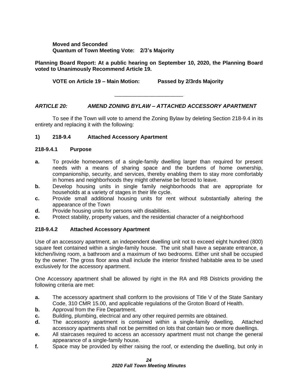**Moved and Seconded Quantum of Town Meeting Vote: 2/3's Majority**

#### **Planning Board Report: At a public hearing on September 10, 2020, the Planning Board voted to Unanimously Recommend Article 19.**

**VOTE on Article 19 – Main Motion: Passed by 2/3rds Majority**

### *ARTICLE 20: AMEND ZONING BYLAW – ATTACHED ACCESSORY APARTMENT*

\_\_\_\_\_\_\_\_\_\_\_\_\_\_\_\_\_\_\_\_\_\_\_

To see if the Town will vote to amend the Zoning Bylaw by deleting Section 218-9.4 in its entirety and replacing it with the following:

#### **1) 218-9.4 Attached Accessory Apartment**

#### **218-9.4.1 Purpose**

- **a.** To provide homeowners of a single-family dwelling larger than required for present needs with a means of sharing space and the burdens of home ownership, companionship, security, and services, thereby enabling them to stay more comfortably in homes and neighborhoods they might otherwise be forced to leave.
- **b.** Develop housing units in single family neighborhoods that are appropriate for households at a variety of stages in their life cycle.
- **c.** Provide small additional housing units for rent without substantially altering the appearance of the Town
- **d.** Provide housing units for persons with disabilities.
- **e.** Protect stability, property values, and the residential character of a neighborhood

#### **218-9.4.2 Attached Accessory Apartment**

Use of an accessory apartment, an independent dwelling unit not to exceed eight hundred (800) square feet contained within a single-family house. The unit shall have a separate entrance, a kitchen/living room, a bathroom and a maximum of two bedrooms. Either unit shall be occupied by the owner. The gross floor area shall include the interior finished habitable area to be used exclusively for the accessory apartment.

One Accessory apartment shall be allowed by right in the RA and RB Districts providing the following criteria are met:

- **a.** The accessory apartment shall conform to the provisions of Title V of the State Sanitary Code, 310 CMR 15.00, and applicable regulations of the Groton Board of Health.
- **b.** Approval from the Fire Department.
- **c.** Building, plumbing, electrical and any other required permits are obtained.
- **d.** The accessory apartment is contained within a single-family dwelling. Attached accessory apartments shall not be permitted on lots that contain two or more dwellings.
- **e.** All staircases required to access an accessory apartment must not change the general appearance of a single-family house.
- **f.** Space may be provided by either raising the roof, or extending the dwelling, but only in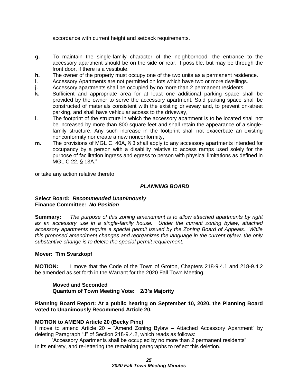accordance with current height and setback requirements.

- **g.** To maintain the single-family character of the neighborhood, the entrance to the accessory apartment should be on the side or rear, if possible, but may be through the front door, if there is a vestibule.
- **h.** The owner of the property must occupy one of the two units as a permanent residence.
- **i**. Accessory Apartments are not permitted on lots which have two or more dwellings.
- **j**. Accessory apartments shall be occupied by no more than 2 permanent residents.
- **k.** Sufficient and appropriate area for at least one additional parking space shall be provided by the owner to serve the accessory apartment. Said parking space shall be constructed of materials consistent with the existing driveway and, to prevent on-street parking, and shall have vehicular access to the driveway,
- **l**. The footprint of the structure in which the accessory apartment is to be located shall not be increased by more than 800 square feet and shall retain the appearance of a singlefamily structure. Any such increase in the footprint shall not exacerbate an existing nonconformity nor create a new nonconformity,
- **m**. The provisions of MGL C. 40A, § 3 shall apply to any accessory apartments intended for occupancy by a person with a disability relative to access ramps used solely for the purpose of facilitation ingress and egress to person with physical limitations as defined in MGL C 22, § 13A."

or take any action relative thereto

### *PLANNING BOARD*

#### **Select Board:** *Recommended Unanimously* **Finance Committee:** *No Position*

**Summary:** *The purpose of this zoning amendment is to allow attached apartments by right as an accessory use in a single-family house. Under the current zoning bylaw, attached accessory apartments require a special permit issued by the Zoning Board of Appeals. While this proposed amendment changes and reorganizes the language in the current bylaw, the only substantive change is to delete the special permit requirement.*

#### **Mover: Tim Svarzkopf**

**MOTION:** I move that the Code of the Town of Groton, Chapters 218-9.4.1 and 218-9.4.2 be amended as set forth in the Warrant for the 2020 Fall Town Meeting.

**Moved and Seconded Quantum of Town Meeting Vote: 2/3's Majority**

#### **Planning Board Report: At a public hearing on September 10, 2020, the Planning Board voted to Unanimously Recommend Article 20.**

#### **MOTION to AMEND Article 20 (Becky Pine)**

I move to amend Article 20 – "Amend Zoning Bylaw – Attached Accessory Apartment" by deleting Paragraph "J" of Section 218-9.4.2, which reads as follows:

"Accessory Apartments shall be occupied by no more than 2 permanent residents" In its entirety, and re-lettering the remaining paragraphs to reflect this deletion.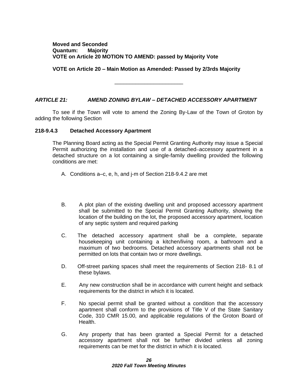**Moved and Seconded Quantum: Majority VOTE on Article 20 MOTION TO AMEND: passed by Majority Vote**

#### **VOTE on Article 20 – Main Motion as Amended: Passed by 2/3rds Majority**

\_\_\_\_\_\_\_\_\_\_\_\_\_\_\_\_\_\_\_\_\_\_\_

#### *ARTICLE 21: AMEND ZONING BYLAW – DETACHED ACCESSORY APARTMENT*

To see if the Town will vote to amend the Zoning By-Law of the Town of Groton by adding the following Section

#### **218-9.4.3 Detached Accessory Apartment**

The Planning Board acting as the Special Permit Granting Authority may issue a Special Permit authorizing the installation and use of a detached–accessory apartment in a detached structure on a lot containing a single-family dwelling provided the following conditions are met:

- A. Conditions a–c, e, h, and j-m of Section 218-9.4.2 are met
- B. A plot plan of the existing dwelling unit and proposed accessory apartment shall be submitted to the Special Permit Granting Authority, showing the location of the building on the lot, the proposed accessory apartment, location of any septic system and required parking
- C. The detached accessory apartment shall be a complete, separate housekeeping unit containing a kitchen/living room, a bathroom and a maximum of two bedrooms. Detached accessory apartments shall not be permitted on lots that contain two or more dwellings.
- D. Off-street parking spaces shall meet the requirements of Section 218- 8.1 of these bylaws.
- E. Any new construction shall be in accordance with current height and setback requirements for the district in which it is located.
- F. No special permit shall be granted without a condition that the accessory apartment shall conform to the provisions of Title V of the State Sanitary Code, 310 CMR 15.00, and applicable regulations of the Groton Board of Health.
- G. Any property that has been granted a Special Permit for a detached accessory apartment shall not be further divided unless all zoning requirements can be met for the district in which it is located.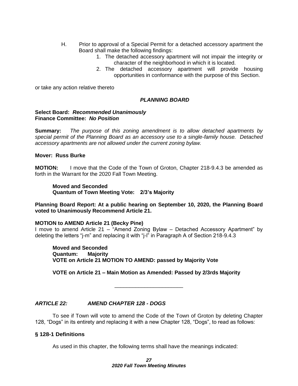- H. Prior to approval of a Special Permit for a detached accessory apartment the Board shall make the following findings:
	- 1. The detached accessory apartment will not impair the integrity or character of the neighborhood in which it is located.
	- 2. The detached accessory apartment will provide housing opportunities in conformance with the purpose of this Section.

or take any action relative thereto

#### *PLANNING BOARD*

#### **Select Board:** *Recommended Unanimously* **Finance Committee:** *No Position*

**Summary:** *The purpose of this zoning amendment is to allow detached apartments by special permit of the Planning Board as an accessory use to a single-family house. Detached accessory apartments are not allowed under the current zoning bylaw.*

#### **Mover: Russ Burke**

**MOTION:** I move that the Code of the Town of Groton, Chapter 218-9.4.3 be amended as forth in the Warrant for the 2020 Fall Town Meeting.

**Moved and Seconded Quantum of Town Meeting Vote: 2/3's Majority**

**Planning Board Report: At a public hearing on September 10, 2020, the Planning Board voted to Unanimously Recommend Article 21.**

#### **MOTION to AMEND Article 21 (Becky Pine)**

I move to amend Article 21 – "Amend Zoning Bylaw – Detached Accessory Apartment" by deleting the letters "j-m" and replacing it with "j-l" in Paragraph A of Section 218-9.4.3

**Moved and Seconded Quantum: Majority VOTE on Article 21 MOTION TO AMEND: passed by Majority Vote**

**VOTE on Article 21 – Main Motion as Amended: Passed by 2/3rds Majority**

\_\_\_\_\_\_\_\_\_\_\_\_\_\_\_\_\_\_\_\_\_\_\_

*ARTICLE 22: AMEND CHAPTER 128 - DOGS*

To see if Town will vote to amend the Code of the Town of Groton by deleting Chapter 128, "Dogs" in its entirety and replacing it with a new Chapter 128, "Dogs", to read as follows:

#### **§ 128-1 Definitions**

As used in this chapter, the following terms shall have the meanings indicated: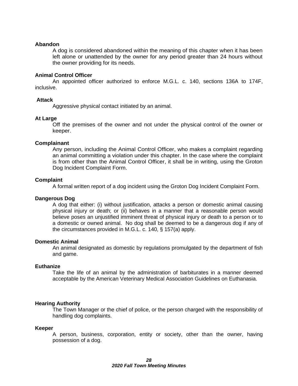#### **Abandon**

A dog is considered abandoned within the meaning of this chapter when it has been left alone or unattended by the owner for any period greater than 24 hours without the owner providing for its needs.

#### **Animal Control Officer**

An appointed officer authorized to enforce M.G.L. c. 140, sections 136A to 174F, inclusive.

#### **Attack**

Aggressive physical contact initiated by an animal.

#### **At Large**

Off the premises of the owner and not under the physical control of the owner or keeper.

#### **Complainant**

Any person, including the Animal Control Officer, who makes a complaint regarding an animal committing a violation under this chapter. In the case where the complaint is from other than the Animal Control Officer, it shall be in writing, using the Groton Dog Incident Complaint Form.

#### **Complaint**

A formal written report of a dog incident using the Groton Dog Incident Complaint Form.

#### **Dangerous Dog**

A dog that either: (i) without justification, attacks a person or domestic animal causing physical injury or death; or (ii) behaves in a manner that a reasonable person would believe poses an unjustified imminent threat of physical injury or death to a person or to a domestic or owned animal. No dog shall be deemed to be a dangerous dog if any of the circumstances provided in M.G.L. c. 140, § 157(a) apply.

#### **Domestic Animal**

An animal designated as domestic by regulations promulgated by the department of fish and game.

#### **Euthanize**

Take the life of an animal by the administration of barbiturates in a manner deemed acceptable by the American Veterinary Medical Association Guidelines on Euthanasia.

#### **Hearing Authority**

The Town Manager or the chief of police, or the person charged with the responsibility of handling dog complaints.

#### **Keeper**

A person, business, corporation, entity or society, other than the owner, having possession of a dog.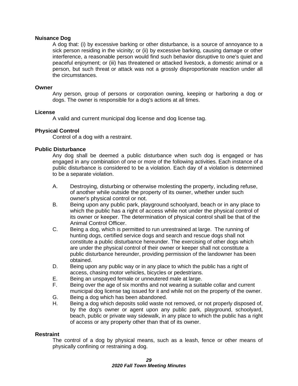#### **Nuisance Dog**

A dog that: (i) by excessive barking or other disturbance, is a source of annoyance to a sick person residing in the vicinity; or (ii) by excessive barking, causing damage or other interference, a reasonable person would find such behavior disruptive to one's quiet and peaceful enjoyment; or (iii) has threatened or attacked livestock, a domestic animal or a person, but such threat or attack was not a grossly disproportionate reaction under all the circumstances.

#### **Owner**

Any person, group of persons or corporation owning, keeping or harboring a dog or dogs. The owner is responsible for a dog's actions at all times.

#### **License**

A valid and current municipal dog license and dog license tag.

#### **Physical Control**

Control of a dog with a restraint.

#### **Public Disturbance**

Any dog shall be deemed a public disturbance when such dog is engaged or has engaged in any combination of one or more of the following activities. Each instance of a public disturbance is considered to be a violation. Each day of a violation is determined to be a separate violation.

- A. Destroying, disturbing or otherwise molesting the property, including refuse, of another while outside the property of its owner, whether under such owner's physical control or not.
- B. Being upon any public park, playground schoolyard, beach or in any place to which the public has a right of access while not under the physical control of its owner or keeper. The determination of physical control shall be that of the Animal Control Officer.
- C. Being a dog, which is permitted to run unrestrained at large. The running of hunting dogs, certified service dogs and search and rescue dogs shall not constitute a public disturbance hereunder. The exercising of other dogs which are under the physical control of their owner or keeper shall not constitute a public disturbance hereunder, providing permission of the landowner has been obtained.
- D. Being upon any public way or in any place to which the public has a right of access, chasing motor vehicles, bicycles or pedestrians.
- E. Being an unspayed female or unneutered male at large.
- F. Being over the age of six months and not wearing a suitable collar and current municipal dog license tag issued for it and while not on the property of the owner.
- G. Being a dog which has been abandoned.
- H. Being a dog which deposits solid waste not removed, or not properly disposed of, by the dog's owner or agent upon any public park, playground, schoolyard, beach, public or private way sidewalk, in any place to which the public has a right of access or any property other than that of its owner.

#### **Restraint**

The control of a dog by physical means, such as a leash, fence or other means of physically confining or restraining a dog.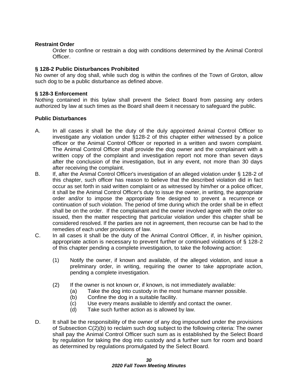#### **Restraint Order**

Order to confine or restrain a dog with conditions determined by the Animal Control Officer.

#### **§ 128-2 Public Disturbances Prohibited**

No owner of any dog shall, while such dog is within the confines of the Town of Groton, allow such dog to be a public disturbance as defined above.

#### **§ 128-3 Enforcement**

Nothing contained in this bylaw shall prevent the Select Board from passing any orders authorized by law at such times as the Board shall deem it necessary to safeguard the public.

#### **Public Disturbances**

- A. In all cases it shall be the duty of the duly appointed Animal Control Officer to investigate any violation under §128-2 of this chapter either witnessed by a police officer or the Animal Control Officer or reported in a written and sworn complaint. The Animal Control Officer shall provide the dog owner and the complainant with a written copy of the complaint and investigation report not more than seven days after the conclusion of the investigation, but in any event, not more than 30 days after receiving the complaint.
- B. If, after the Animal Control Officer's investigation of an alleged violation under § 128-2 of this chapter, such officer has reason to believe that the described violation did in fact occur as set forth in said written complaint or as witnessed by him/her or a police officer, it shall be the Animal Control Officer's duty to issue the owner, in writing, the appropriate order and/or to impose the appropriate fine designed to prevent a recurrence or continuation of such violation. The period of time during which the order shall be in effect shall be on the order. If the complainant and the owner involved agree with the order so issued, then the matter respecting that particular violation under this chapter shall be considered resolved. If the parties are not in agreement, then recourse can be had to the remedies of each under provisions of law.
- C. In all cases it shall be the duty of the Animal Control Officer, if, in his/her opinion, appropriate action is necessary to prevent further or continued violations of § 128-2 of this chapter pending a complete investigation, to take the following action:
	- (1) Notify the owner, if known and available, of the alleged violation, and issue a preliminary order, in writing, requiring the owner to take appropriate action, pending a complete investigation.
	- (2) If the owner is not known or, if known, is not immediately available:
		- (a) Take the dog into custody in the most humane manner possible.
		- (b) Confine the dog in a suitable facility.
		- (c) Use every means available to identify and contact the owner.
		- (d) Take such further action as is allowed by law.
- D. It shall be the responsibility of the owner of any dog impounded under the provisions of Subsection C(2)(b) to reclaim such dog subject to the following criteria: The owner shall pay the Animal Control Officer such sum as is established by the Select Board by regulation for taking the dog into custody and a further sum for room and board as determined by regulations promulgated by the Select Board.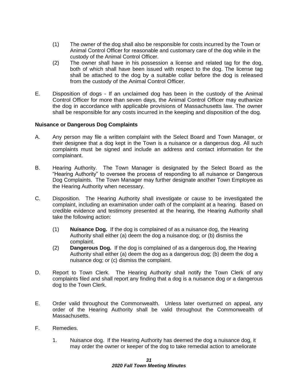- (1) The owner of the dog shall also be responsible for costs incurred by the Town or Animal Control Officer for reasonable and customary care of the dog while in the custody of the Animal Control Officer.
- (2) The owner shall have in his possession a license and related tag for the dog, both of which shall have been issued with respect to the dog. The license tag shall be attached to the dog by a suitable collar before the dog is released from the custody of the Animal Control Officer.
- E. Disposition of dogs If an unclaimed dog has been in the custody of the Animal Control Officer for more than seven days, the Animal Control Officer may euthanize the dog in accordance with applicable provisions of Massachusetts law. The owner shall be responsible for any costs incurred in the keeping and disposition of the dog.

#### **Nuisance or Dangerous Dog Complaints**

- A. Any person may file a written complaint with the Select Board and Town Manager, or their designee that a dog kept in the Town is a nuisance or a dangerous dog. All such complaints must be signed and include an address and contact information for the complainant.
- B. Hearing Authority. The Town Manager is designated by the Select Board as the "Hearing Authority" to oversee the process of responding to all nuisance or Dangerous Dog Complaints. The Town Manager may further designate another Town Employee as the Hearing Authority when necessary.
- C. Disposition. The Hearing Authority shall investigate or cause to be investigated the complaint, including an examination under oath of the complaint at a hearing. Based on credible evidence and testimony presented at the hearing, the Hearing Authority shall take the following action:
	- (1) **Nuisance Dog.** If the dog is complained of as a nuisance dog, the Hearing Authority shall either (a) deem the dog a nuisance dog; or (b) dismiss the complaint.
	- (2) **Dangerous Dog.** If the dog is complained of as a dangerous dog, the Hearing Authority shall either (a) deem the dog as a dangerous dog; (b) deem the dog a nuisance dog; or (c) dismiss the complaint.
- D. Report to Town Clerk. The Hearing Authority shall notify the Town Clerk of any complaints filed and shall report any finding that a dog is a nuisance dog or a dangerous dog to the Town Clerk.
- E. Order valid throughout the Commonwealth. Unless later overturned on appeal, any order of the Hearing Authority shall be valid throughout the Commonwealth of Massachusetts.
- F. Remedies.
	- 1. Nuisance dog. If the Hearing Authority has deemed the dog a nuisance dog, it may order the owner or keeper of the dog to take remedial action to ameliorate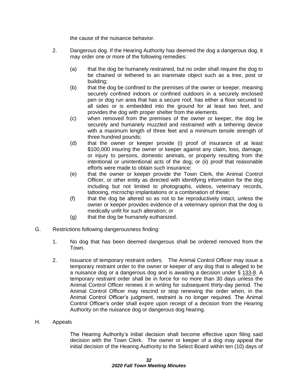the cause of the nuisance behavior.

- 2. Dangerous dog. If the Hearing Authority has deemed the dog a dangerous dog, it may order one or more of the following remedies:
	- (a) that the dog be humanely restrained, but no order shall require the dog to be chained or tethered to an inanimate object such as a tree, post or building;
	- (b) that the dog be confined to the premises of the owner or keeper, meaning securely confined indoors or confined outdoors in a securely enclosed pen or dog run area that has a secure roof, has either a floor secured to all sides or is embedded into the ground for at least two feet, and provides the dog with proper shelter from the elements.
	- (c) when removed from the premises of the owner or keeper, the dog be securely and humanely muzzled and restrained with a tethering device with a maximum length of three feet and a minimum tensile strength of three hundred pounds;
	- (d) that the owner or keeper provide (i) proof of insurance of at least \$100,000 insuring the owner or keeper against any claim, loss, damage, or injury to persons, domestic animals, or property resulting from the intentional or unintentional acts of the dog; or (ii) proof that reasonable efforts were made to obtain such insurance;
	- (e) that the owner or keeper provide the Town Clerk, the Animal Control Officer, or other entity as directed with identifying information for the dog including but not limited to photographs, videos, veterinary records, tattooing, microchip implantations or a combination of these;
	- (f) that the dog be altered so as not to be reproductively intact, unless the owner or keeper provides evidence of a veterinary opinion that the dog is medically unfit for such alteration; or
	- (g) that the dog be humanely euthanized.
- G. Restrictions following dangerousness finding:
	- 1. No dog that has been deemed dangerous shall be ordered removed from the Town.
	- 2. Issuance of temporary restraint orders. The Animal Control Officer may issue a temporary restraint order to the owner or keeper of any dog that is alleged to be a nuisance dog or a dangerous dog and is awaiting a decision under § [133-8.](https://ecode360.com/32838931#32838931) A temporary restraint order shall be in force for no more than 30 days unless the Animal Control Officer renews it in writing for subsequent thirty-day period. The Animal Control Officer may rescind or stop renewing the order when, in the Animal Control Officer's judgment, restraint is no longer required. The Animal Control Officer's order shall expire upon receipt of a decision from the Hearing Authority on the nuisance dog or dangerous dog hearing.
- H. Appeals

The Hearing Authority's initial decision shall become effective upon filing said decision with the Town Clerk. The owner or keeper of a dog may appeal the initial decision of the Hearing Authority to the Select Board within ten (10) days of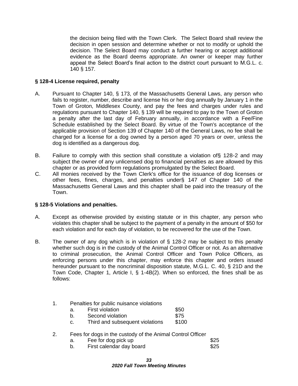the decision being filed with the Town Clerk. The Select Board shall review the decision in open session and determine whether or not to modify or uphold the decision. The Select Board may conduct a further hearing or accept additional evidence as the Board deems appropriate. An owner or keeper may further appeal the Select Board's final action to the district court pursuant to M.G.L. c. 140 § 157.

#### **§ 128-4 License required, penalty**

- A. Pursuant to Chapter 140, § 173, of the Massachusetts General Laws, any person who fails to register, number, describe and license his or her dog annually by January 1 in the Town of Groton, Middlesex County, and pay the fees and charges under rules and regulations pursuant to Chapter 140, § 139 will be required to pay to the Town of Groton a penalty after the last day of February annually, in accordance with a Fee/Fine Schedule established by the Select Board. By virtue of the Town's acceptance of the applicable provision of Section 139 of Chapter 140 of the General Laws, no fee shall be charged for a license for a dog owned by a person aged 70 years or over, unless the dog is identified as a dangerous dog.
- B. Failure to comply with this section shall constitute a violation of§ 128-2 and may subject the owner of any unlicensed dog to financial penalties as are allowed by this chapter or as provided form regulations promulgated by the Select Board.
- C. All monies received by the Town Clerk's office for the issuance of dog licenses or other fees, fines, charges, and penalties under§ 147 of Chapter 140 of the Massachusetts General Laws and this chapter shall be paid into the treasury of the Town.

#### **§ 128-5 Violations and penalties.**

- A. Except as otherwise provided by existing statute or in this chapter, any person who violates this chapter shall be subject to the payment of a penalty in the amount of \$50 for each violation and for each day of violation, to be recovered for the use of the Town.
- B. The owner of any dog which is in violation of § 128-2 may be subject to this penalty whether such dog is in the custody of the Animal Control Officer or not. As an alternative to criminal prosecution, the Animal Control Officer and Town Police Officers, as enforcing persons under this chapter, may enforce this chapter and orders issued hereunder pursuant to the noncriminal disposition statute, M.G.L. C. 40, § 21D and the Town Code, Chapter 1, Article I, § 1-4B(2). When so enforced, the fines shall be as follows:
	- 1. Penalties for public nuisance violations

| а. | <b>First violation</b> | \$50 |
|----|------------------------|------|
|    |                        |      |

- b. Second violation 675
- c. Third and subsequent violations \$100
- 2. Fees for dogs in the custody of the Animal Control Officer

| a. | Fee for dog pick up | \$25 |
|----|---------------------|------|
|    |                     |      |

b. First calendar day board **\$25**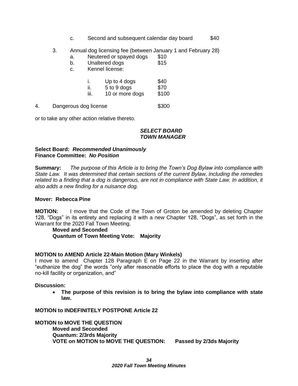- c. Second and subsequent calendar day board \$40
- 3. Annual dog licensing fee (between January 1 and February 28)
	- a. Neutered or spayed dogs \$10
	- b. Unaltered dogs 515
	- c. Kennel license:

| $\mathbf{L}$ | Up to 4 dogs    | \$40  |
|--------------|-----------------|-------|
| Н.           | 5 to 9 dogs     | \$70  |
| Ш.           | 10 or more dogs | \$100 |

4. Dangerous dog license **\$300** 

or to take any other action relative thereto.

#### *SELECT BOARD TOWN MANAGER*

#### **Select Board:** *Recommended Unanimously* **Finance Committee:** *No Position*

**Summary:** *The purpose of this Article is to bring the Town's Dog Bylaw into compliance with State Law. It was determined that certain sections of the current Bylaw, including the remedies*  related to a finding that a dog is dangerous, are not in compliance with State Law. In addition, it *also adds a new finding for a nuisance dog.*

#### **Mover: Rebecca Pine**

**MOTION:** I move that the Code of the Town of Groton be amended by deleting Chapter 128, "Dogs" in its entirety and replacing it with a new Chapter 128, "Dogs", as set forth in the Warrant for the 2020 Fall Town Meeting.

**Moved and Seconded Quantum of Town Meeting Vote: Majority**

#### **MOTION to AMEND Article 22-Main Motion (Mary Winkels)**

I move to amend Chapter 128 Paragraph E on Page 22 in the Warrant by inserting after "euthanize the dog" the words "only after reasonable efforts to place the dog with a reputable no-kill facility or organization, and"

#### **Discussion:**

• **The purpose of this revision is to bring the bylaw into compliance with state law.**

#### **MOTION to INDEFINITELY POSTPONE Article 22**

**MOTION to MOVE THE QUESTION Moved and Seconded Quantum: 2/3rds Majority VOTE on MOTION to MOVE THE QUESTION: Passed by 2/3ds Majority**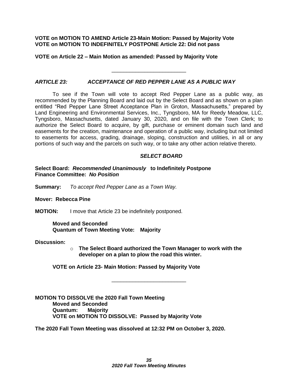**VOTE on MOTION TO AMEND Article 23-Main Motion: Passed by Majority Vote VOTE on MOTION TO INDEFINITELY POSTPONE Article 22: Did not pass**

**VOTE on Article 22 – Main Motion as amended: Passed by Majority Vote**

#### *ARTICLE 23: ACCEPTANCE OF RED PEPPER LANE AS A PUBLIC WAY*

To see if the Town will vote to accept Red Pepper Lane as a public way, as recommended by the Planning Board and laid out by the Select Board and as shown on a plan entitled "Red Pepper Lane Street Acceptance Plan in Groton, Massachusetts," prepared by Land Engineering and Environmental Services, Inc., Tyngsboro, MA for Reedy Meadow, LLC, Tyngsboro, Massachusetts, dated January 30, 2020, and on file with the Town Clerk; to authorize the Select Board to acquire, by gift, purchase or eminent domain such land and easements for the creation, maintenance and operation of a public way, including but not limited to easements for access, grading, drainage, sloping, construction and utilities, in all or any portions of such way and the parcels on such way, or to take any other action relative thereto.

\_\_\_\_\_\_\_\_\_\_\_\_\_\_\_\_\_\_\_\_\_\_\_\_\_

#### *SELECT BOARD*

#### **Select Board:** *Recommended Unanimously* **to Indefinitely Postpone Finance Committee:** *No Position*

**Summary:** *To accept Red Pepper Lane as a Town Way.*

#### **Mover: Rebecca Pine**

**MOTION:** I move that Article 23 be indefinitely postponed.

#### **Moved and Seconded Quantum of Town Meeting Vote: Majority**

**Discussion:**

o **The Select Board authorized the Town Manager to work with the developer on a plan to plow the road this winter.**

\_\_\_\_\_\_\_\_\_\_\_\_\_\_\_\_\_\_\_\_\_\_\_\_\_

**VOTE on Article 23- Main Motion: Passed by Majority Vote**

**MOTION TO DISSOLVE the 2020 Fall Town Meeting Moved and Seconded Quantum: Majority VOTE on MOTION TO DISSOLVE: Passed by Majority Vote**

**The 2020 Fall Town Meeting was dissolved at 12:32 PM on October 3, 2020.**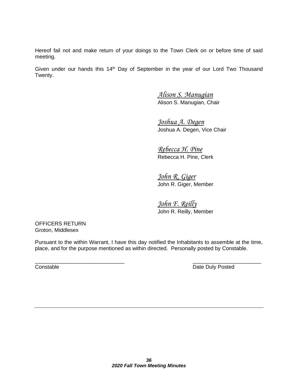Hereof fail not and make return of your doings to the Town Clerk on or before time of said meeting.

Given under our hands this 14<sup>th</sup> Day of September in the year of our Lord Two Thousand Twenty.

> *Alison S. Manugian* Alison S. Manugian, Chair

*Joshua A. Degen* Joshua A. Degen, Vice Chair

*Rebecca H. Pine* Rebecca H. Pine, Clerk

*John R. Giger* John R. Giger, Member

*John F. Reilly* John R. Reilly, Member

OFFICERS RETURN Groton, Middlesex

Pursuant to the within Warrant, I have this day notified the Inhabitants to assemble at the time, place, and for the purpose mentioned as within directed. Personally posted by Constable.

 $\overline{\phantom{a}}$  , and the contract of the contract of the contract of the contract of the contract of the contract of the contract of the contract of the contract of the contract of the contract of the contract of the contrac **Constable Constable Date Duly Posted**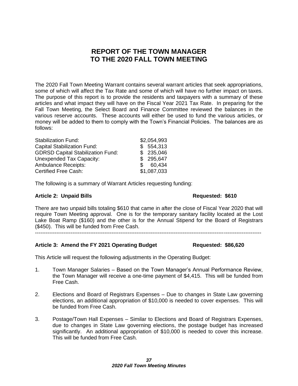### **REPORT OF THE TOWN MANAGER TO THE 2020 FALL TOWN MEETING**

The 2020 Fall Town Meeting Warrant contains several warrant articles that seek appropriations, some of which will affect the Tax Rate and some of which will have no further impact on taxes. The purpose of this report is to provide the residents and taxpayers with a summary of these articles and what impact they will have on the Fiscal Year 2021 Tax Rate. In preparing for the Fall Town Meeting, the Select Board and Finance Committee reviewed the balances in the various reserve accounts. These accounts will either be used to fund the various articles, or money will be added to them to comply with the Town's Financial Policies. The balances are as follows:

| <b>Stabilization Fund:</b>               | \$2,054,993   |
|------------------------------------------|---------------|
| <b>Capital Stabilization Fund:</b>       | \$554,313     |
| <b>GDRSD Capital Stabilization Fund:</b> | \$235,046     |
| Unexpended Tax Capacity:                 | \$295,647     |
| <b>Ambulance Receipts:</b>               | 60,434<br>SS. |
| <b>Certified Free Cash:</b>              | \$1,087,033   |

The following is a summary of Warrant Articles requesting funding:

### **Article 2: Unpaid Bills Requested: \$610**

There are two unpaid bills totaling \$610 that came in after the close of Fiscal Year 2020 that will require Town Meeting approval. One is for the temporary sanitary facility located at the Lost Lake Boat Ramp (\$160) and the other is for the Annual Stipend for the Board of Registrars (\$450). This will be funded from Free Cash.

-------------------------------------------------------------------------------------------------------------------------------

### **Article 3: Amend the FY 2021 Operating Budget Requested: \$86,620**

This Article will request the following adjustments in the Operating Budget:

- 1. Town Manager Salaries Based on the Town Manager's Annual Performance Review, the Town Manager will receive a one-time payment of \$4,415. This will be funded from Free Cash.
- 2. Elections and Board of Registrars Expenses Due to changes in State Law governing elections, an additional appropriation of \$10,000 is needed to cover expenses. This will be funded from Free Cash.
- 3. Postage/Town Hall Expenses Similar to Elections and Board of Registrars Expenses, due to changes in State Law governing elections, the postage budget has increased significantly. An additional appropriation of \$10,000 is needed to cover this increase. This will be funded from Free Cash.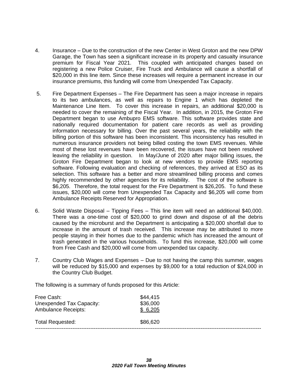- 4. Insurance Due to the construction of the new Center in West Groton and the new DPW Garage, the Town has seen a significant increase in its property and casualty insurance premium for Fiscal Year 2021. This coupled with anticipated changes based on registering a new Police Cruiser, Fire Truck and Ambulance will cause a shortfall of \$20,000 in this line item. Since these increases will require a permanent increase in our insurance premiums, this funding will come from Unexpended Tax Capacity.
- 5. Fire Department Expenses The Fire Department has seen a major increase in repairs to its two ambulances, as well as repairs to Engine 1 which has depleted the Maintenance Line Item. To cover this increase in repairs, an additional \$20,000 is needed to cover the remaining of the Fiscal Year. In addition, in 2015, the Groton Fire Department began to use Ambupro EMS software. This software provides state and nationally required documentation for patient care records as well as providing information necessary for billing. Over the past several years, the reliability with the billing portion of this software has been inconsistent. This inconsistency has resulted in numerous insurance providers not being billed costing the town EMS revenues. While most of these lost revenues have been recovered, the issues have not been resolved leaving the reliability in question. In May/June of 2020 after major billing issues, the Groton Fire Department began to look at new vendors to provide EMS reporting software. Following evaluation and checking of references, they arrived at ESO as its selection. This software has a better and more streamlined billing process and comes highly recommended by other agencies for its reliability. The cost of the software is \$6,205. Therefore, the total request for the Fire Department is \$26,205. To fund these issues, \$20,000 will come from Unexpended Tax Capacity and \$6,205 will come from Ambulance Receipts Reserved for Appropriation.
- 6. Solid Waste Disposal Tipping Fees This line item will need an additional \$40,000. There was a one-time cost of \$20,000 to grind down and dispose of all the debris caused by the microburst and the Department is anticipating a \$20,000 shortfall due to increase in the amount of trash received. This increase may be attributed to more people staying in their homes due to the pandemic which has increased the amount of trash generated in the various households. To fund this increase, \$20,000 will come from Free Cash and \$20,000 will come from unexpended tax capacity.
- 7. Country Club Wages and Expenses Due to not having the camp this summer, wages will be reduced by \$15,000 and expenses by \$9,000 for a total reduction of \$24,000 in the Country Club Budget.

The following is a summary of funds proposed for this Article:

| Free Cash:                                             | \$44,415            |
|--------------------------------------------------------|---------------------|
| Unexpended Tax Capacity:<br><b>Ambulance Receipts:</b> | \$36,000<br>\$6,205 |
| <b>Total Requested:</b>                                | \$86,620            |
|                                                        |                     |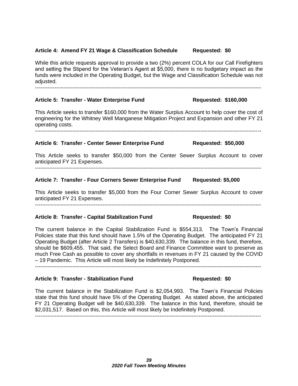#### **Article 4: Amend FY 21 Wage & Classification Schedule Requested: \$0**

While this article requests approval to provide a two (2%) percent COLA for our Call Firefighters and setting the Stipend for the Veteran's Agent at \$5,000, there is no budgetary impact as the funds were included in the Operating Budget, but the Wage and Classification Schedule was not adjusted.

-------------------------------------------------------------------------------------------------------------------------------

#### **Article 5: Transfer - Water Enterprise Fund Requested: \$160,000**

This Article seeks to transfer \$160,000 from the Water Surplus Account to help cover the cost of engineering for the Whitney Well Manganese Mitigation Project and Expansion and other FY 21 operating costs.

-------------------------------------------------------------------------------------------------------------------------------

#### **Article 6: Transfer - Center Sewer Enterprise Fund Requested: \$50,000**

This Article seeks to transfer \$50,000 from the Center Sewer Surplus Account to cover anticipated FY 21 Expenses. -------------------------------------------------------------------------------------------------------------------------------

#### **Article 7: Transfer - Four Corners Sewer Enterprise Fund Requested: \$5,000**

This Article seeks to transfer \$5,000 from the Four Corner Sewer Surplus Account to cover anticipated FY 21 Expenses.

-------------------------------------------------------------------------------------------------------------------------------

#### **Article 8: Transfer - Capital Stabilization Fund Requested: \$0**

The current balance in the Capital Stabilization Fund is \$554,313. The Town's Financial Policies state that this fund should have 1.5% of the Operating Budget. The anticipated FY 21 Operating Budget (after Article 2 Transfers) is \$40,630,339. The balance in this fund, therefore, should be \$609,455. That said, the Select Board and Finance Committee want to preserve as much Free Cash as possible to cover any shortfalls in revenues in FY 21 caused by the COVID – 19 Pandemic. This Article will most likely be Indefinitely Postponed.

-------------------------------------------------------------------------------------------------------------------------------

#### **Article 9: Transfer - Stabilization Fund Requested: \$0**

The current balance in the Stabilization Fund is \$2,054,993. The Town's Financial Policies state that this fund should have 5% of the Operating Budget. As stated above, the anticipated FY 21 Operating Budget will be \$40,630,339. The balance in this fund, therefore, should be \$2,031,517. Based on this, this Article will most likely be Indefinitely Postponed.

-------------------------------------------------------------------------------------------------------------------------------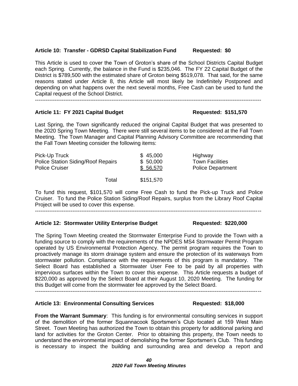#### **Article 10: Transfer - GDRSD Capital Stabilization Fund Requested: \$0**

This Article is used to cover the Town of Groton's share of the School Districts Capital Budget each Spring. Currently, the balance in the Fund is \$235,046. The FY 22 Capital Budget of the District is \$789,500 with the estimated share of Groton being \$519,078. That said, for the same reasons stated under Article 8, this Article will most likely be Indefinitely Postponed and depending on what happens over the next several months, Free Cash can be used to fund the Capital request of the School District.

-------------------------------------------------------------------------------------------------------------------------------

#### Article 11: FY 2021 Capital Budget Requested: \$151,570

Last Spring, the Town significantly reduced the original Capital Budget that was presented to the 2020 Spring Town Meeting. There were still several items to be considered at the Fall Town Meeting. The Town Manager and Capital Planning Advisory Committee are recommending that the Fall Town Meeting consider the following items:

| Pick-Up Truck                      | \$45,000  | Highway                  |
|------------------------------------|-----------|--------------------------|
| Police Station Siding/Roof Repairs | \$50,000  | <b>Town Facilities</b>   |
| <b>Police Cruiser</b>              | \$56,570  | <b>Police Department</b> |
| Total                              | \$151,570 |                          |

To fund this request, \$101,570 will come Free Cash to fund the Pick-up Truck and Police Cruiser. To fund the Police Station Siding/Roof Repairs, surplus from the Library Roof Capital Project will be used to cover this expense.

-------------------------------------------------------------------------------------------------------------------------------

#### **Article 12: Stormwater Utility Enterprise Budget Requested: \$220,000**

The Spring Town Meeting created the Stormwater Enterprise Fund to provide the Town with a funding source to comply with the requirements of the NPDES MS4 Stormwater Permit Program operated by US Environmental Protection Agency. The permit program requires the Town to proactively manage its storm drainage system and ensure the protection of its waterways from stormwater pollution. Compliance with the requirements of this program is mandatory. The Select Board has established a Stormwater User Fee to be paid by all properties with impervious surfaces within the Town to cover this expense. This Article requests a budget of \$220,000 as approved by the Select Board at their August 10, 2020 Meeting. The funding for this Budget will come from the stormwater fee approved by the Select Board.

-------------------------------------------------------------------------------------------------------------------------------

#### Article 13: Environmental Consulting Services Requested: \$18,000

**From the Warrant Summary**: This funding is for environmental consulting services in support of the demolition of the former Squannacook Sportsmen's Club located at 159 West Main Street. Town Meeting has authorized the Town to obtain this property for additional parking and land for activities for the Groton Center. Prior to obtaining this property, the Town needs to understand the environmental impact of demolishing the former Sportsmen's Club. This funding is necessary to inspect the building and surrounding area and develop a report and